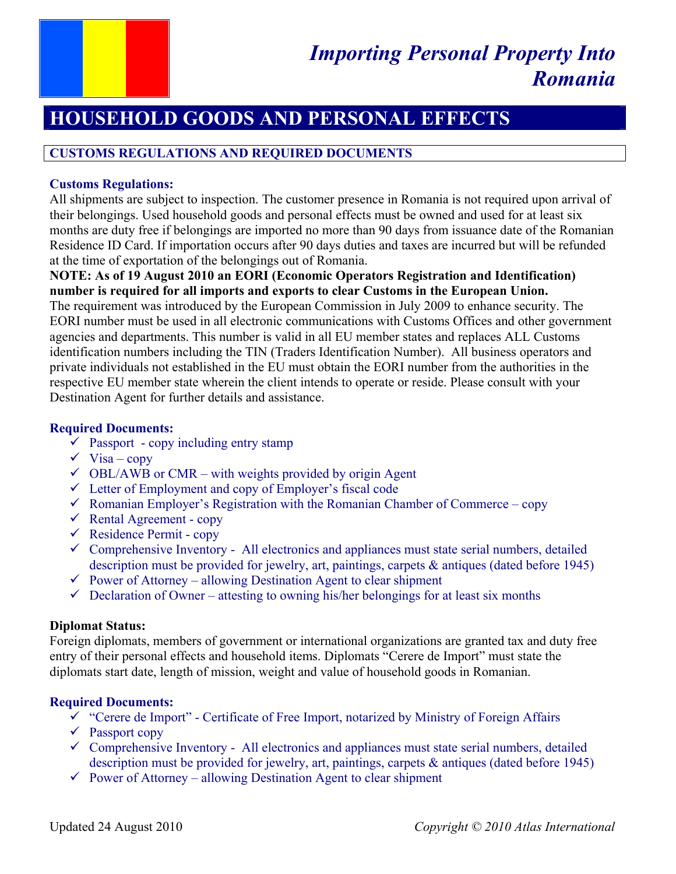

# **HOUSEHOLD GOODS AND PERSONAL EFFECTS**

# **CUSTOMS REGULATIONS AND REQUIRED DOCUMENTS**

## **Customs Regulations:**

All shipments are subject to inspection. The customer presence in Romania is not required upon arrival of their belongings. Used household goods and personal effects must be owned and used for at least six months are duty free if belongings are imported no more than 90 days from issuance date of the Romanian Residence ID Card. If importation occurs after 90 days duties and taxes are incurred but will be refunded at the time of exportation of the belongings out of Romania.

# **NOTE: As of 19 August 2010 an EORI (Economic Operators Registration and Identification) number is required for all imports and exports to clear Customs in the European Union.**

The requirement was introduced by the European Commission in July 2009 to enhance security. The EORI number must be used in all electronic communications with Customs Offices and other government agencies and departments. This number is valid in all EU member states and replaces ALL Customs identification numbers including the TIN (Traders Identification Number). All business operators and private individuals not established in the EU must obtain the EORI number from the authorities in the respective EU member state wherein the client intends to operate or reside. Please consult with your Destination Agent for further details and assistance.

# **Required Documents:**

- $\checkmark$  Passport copy including entry stamp
- $\checkmark$  Visa copy
- $\checkmark$  OBL/AWB or CMR with weights provided by origin Agent
- $\checkmark$  Letter of Employment and copy of Employer's fiscal code
- $\checkmark$  Romanian Employer's Registration with the Romanian Chamber of Commerce copy
- $\checkmark$  Rental Agreement copy
- $\checkmark$  Residence Permit copy
- $\checkmark$  Comprehensive Inventory All electronics and appliances must state serial numbers, detailed description must be provided for jewelry, art, paintings, carpets & antiques (dated before 1945)
- $\checkmark$  Power of Attorney allowing Destination Agent to clear shipment
- $\checkmark$  Declaration of Owner attesting to owning his/her belongings for at least six months

# **Diplomat Status:**

Foreign diplomats, members of government or international organizations are granted tax and duty free entry of their personal effects and household items. Diplomats "Cerere de Import" must state the diplomats start date, length of mission, weight and value of household goods in Romanian.

# **Required Documents:**

- $\checkmark$  "Cerere de Import" Certificate of Free Import, notarized by Ministry of Foreign Affairs
- $\sqrt{P}$  Passport copy
- $\checkmark$  Comprehensive Inventory All electronics and appliances must state serial numbers, detailed description must be provided for jewelry, art, paintings, carpets & antiques (dated before 1945)
- $\checkmark$  Power of Attorney allowing Destination Agent to clear shipment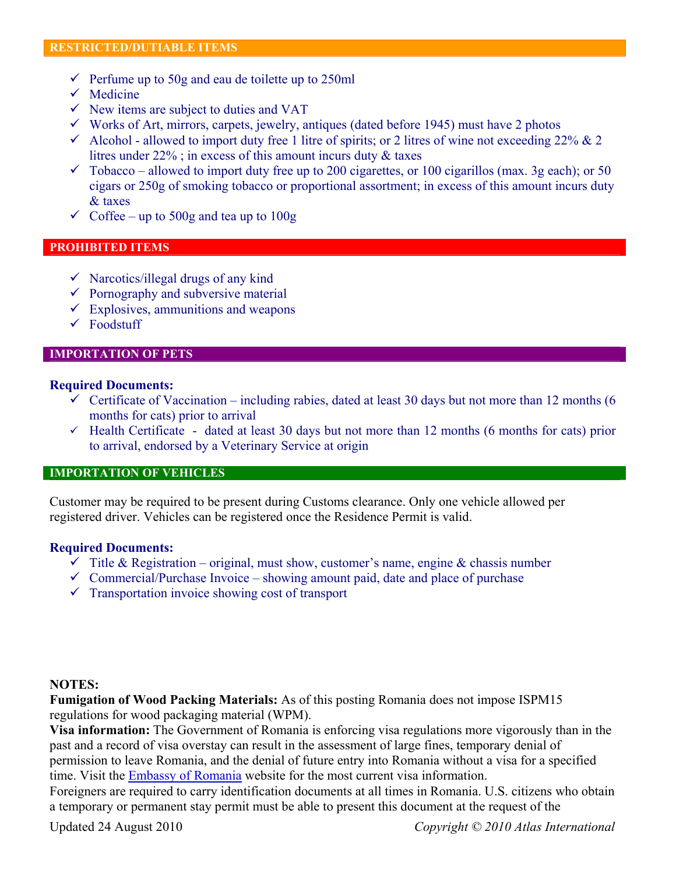- $\checkmark$  Perfume up to 50g and eau de toilette up to 250ml
- $\checkmark$  Medicine
- $\checkmark$  New items are subject to duties and VAT
- $\checkmark$  Works of Art, mirrors, carpets, jewelry, antiques (dated before 1945) must have 2 photos
- $\checkmark$  Alcohol allowed to import duty free 1 litre of spirits; or 2 litres of wine not exceeding 22% & 2 litres under 22% ; in excess of this amount incurs duty & taxes
- $\checkmark$  Tobacco allowed to import duty free up to 200 cigarettes, or 100 cigarillos (max. 3g each); or 50 cigars or 250g of smoking tobacco or proportional assortment; in excess of this amount incurs duty & taxes
- $\checkmark$  Coffee up to 500g and tea up to 100g

## **PROHIBITED ITEMS**

- $\checkmark$  Narcotics/illegal drugs of any kind
- $\checkmark$  Pornography and subversive material
- $\checkmark$  Explosives, ammunitions and weapons
- $\checkmark$  Foodstuff

#### **IMPORTATION OF PETS**

### **Required Documents:**

- $\checkmark$  Certificate of Vaccination including rabies, dated at least 30 days but not more than 12 months (6 months for cats) prior to arrival
- $\checkmark$  Health Certificate dated at least 30 days but not more than 12 months (6 months for cats) prior to arrival, endorsed by a Veterinary Service at origin

## **IMPORTATION OF VEHICLES**

Customer may be required to be present during Customs clearance. Only one vehicle allowed per registered driver. Vehicles can be registered once the Residence Permit is valid.

#### **Required Documents:**

- $\checkmark$  Title & Registration original, must show, customer's name, engine & chassis number
- $\checkmark$  Commercial/Purchase Invoice showing amount paid, date and place of purchase
- $\checkmark$  Transportation invoice showing cost of transport

#### **NOTES:**

**Fumigation of Wood Packing Materials:** As of this posting Romania does not impose ISPM15 regulations for wood packaging material (WPM).

**Visa information:** The Government of Romania is enforcing visa regulations more vigorously than in the past and a record of visa overstay can result in the assessment of large fines, temporary denial of permission to leave Romania, and the denial of future entry into Romania without a visa for a specified time. Visit the Embassy of Romania website for the most current visa information.

Foreigners are required to carry identification documents at all times in Romania. U.S. citizens who obtain a temporary or permanent stay permit must be able to present this document at the request of the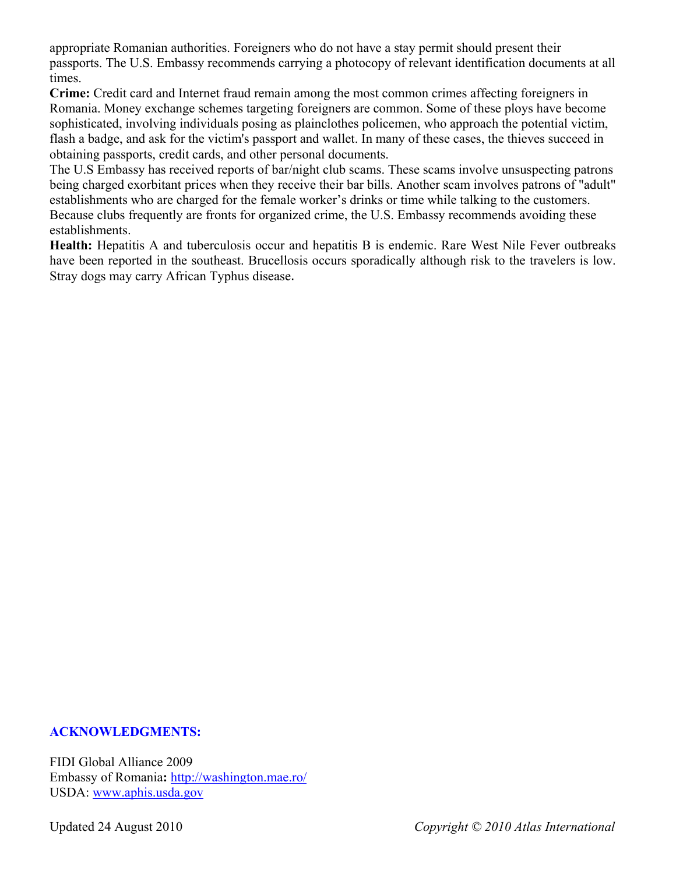appropriate Romanian authorities. Foreigners who do not have a stay permit should present their passports. The U.S. Embassy recommends carrying a photocopy of relevant identification documents at all times.

**Crime:** Credit card and Internet fraud remain among the most common crimes affecting foreigners in Romania. Money exchange schemes targeting foreigners are common. Some of these ploys have become sophisticated, involving individuals posing as plainclothes policemen, who approach the potential victim, flash a badge, and ask for the victim's passport and wallet. In many of these cases, the thieves succeed in obtaining passports, credit cards, and other personal documents.

The U.S Embassy has received reports of bar/night club scams. These scams involve unsuspecting patrons being charged exorbitant prices when they receive their bar bills. Another scam involves patrons of "adult" establishments who are charged for the female worker's drinks or time while talking to the customers. Because clubs frequently are fronts for organized crime, the U.S. Embassy recommends avoiding these establishments.

**Health:** Hepatitis A and tuberculosis occur and hepatitis B is endemic. Rare West Nile Fever outbreaks have been reported in the southeast. Brucellosis occurs sporadically although risk to the travelers is low. Stray dogs may carry African Typhus disease.

## **ACKNOWLEDGMENTS:**

FIDI Global Alliance 2009 Embassy of Romania**:** http://washington.mae.ro/ USDA: www.aphis.usda.gov